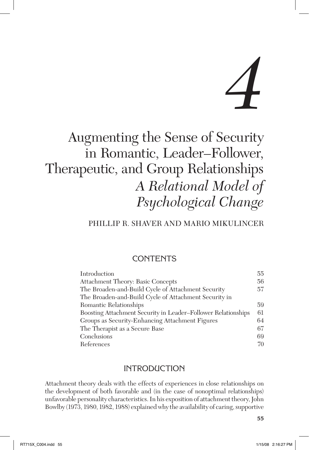# *4*

# Augmenting the Sense of Security in Romantic, Leader–Follower, Therapeutic, and Group Relationships *A Relational Model of Psychological Change*

# Phillip R. Shaver and Mario Mikulincer

# **CONTENTS**

| Introduction                                                  | 55 |
|---------------------------------------------------------------|----|
| Attachment Theory: Basic Concepts                             | 56 |
| The Broaden-and-Build Cycle of Attachment Security            | 57 |
| The Broaden-and-Build Cycle of Attachment Security in         |    |
| Romantic Relationships                                        | 59 |
| Boosting Attachment Security in Leader-Follower Relationships | 61 |
| Groups as Security-Enhancing Attachment Figures               | 64 |
| The Therapist as a Secure Base                                | 67 |
| Conclusions                                                   | 69 |
| References                                                    | 70 |

# **INTRODUCTION**

Attachment theory deals with the effects of experiences in close relationships on the development of both favorable and (in the case of nonoptimal relationships) unfavorable personality characteristics. In his exposition of attachment theory, John Bowlby (1973, 1980, 1982, 1988) explained why the availability of caring, supportive

**55**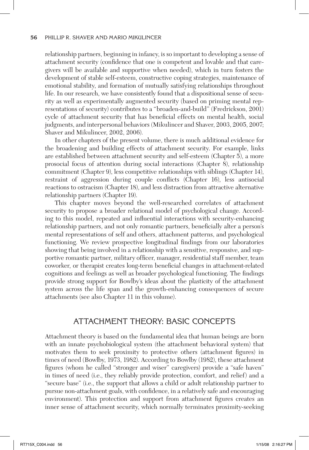relationship partners, beginning in infancy, is so important to developing a sense of attachment security (confidence that one is competent and lovable and that caregivers will be available and supportive when needed), which in turn fosters the development of stable self-esteem, constructive coping strategies, maintenance of emotional stability, and formation of mutually satisfying relationships throughout life. In our research, we have consistently found that a dispositional sense of security as well as experimentally augmented security (based on priming mental representations of security) contributes to a "broaden-and-build" (Fredrickson, 2001) cycle of attachment security that has beneficial effects on mental health, social judgments, and interpersonal behaviors (Mikulincer and Shaver, 2003, 2005, 2007; Shaver and Mikulincer, 2002, 2006).

In other chapters of the present volume, there is much additional evidence for the broadening and building effects of attachment security. For example, links are established between attachment security and self-esteem (Chapter 5), a more prosocial focus of attention during social interactions (Chapter 8), relationship commitment (Chapter 9), less competitive relationships with siblings (Chapter 14), restraint of aggression during couple conflicts (Chapter 16), less antisocial reactions to ostracism (Chapter 18), and less distraction from attractive alternative relationship partners (Chapter 19).

This chapter moves beyond the well-researched correlates of attachment security to propose a broader relational model of psychological change. According to this model, repeated and influential interactions with security-enhancing relationship partners, and not only romantic partners, beneficially alter a person's mental representations of self and others, attachment patterns, and psychological functioning. We review prospective longitudinal findings from our laboratories showing that being involved in a relationship with a sensitive, responsive, and supportive romantic partner, military officer, manager, residential staff member, team coworker, or therapist creates long-term beneficial changes in attachment-related cognitions and feelings as well as broader psychological functioning. The findings provide strong support for Bowlby's ideas about the plasticity of the attachment system across the life span and the growth-enhancing consequences of secure attachments (see also Chapter 11 in this volume).

# Attachment Theory: Basic Concepts

Attachment theory is based on the fundamental idea that human beings are born with an innate psychobiological system (the attachment behavioral system) that motivates them to seek proximity to protective others (attachment figures) in times of need (Bowlby, 1973, 1982). According to Bowlby (1982), these attachment figures (whom he called "stronger and wiser" caregivers) provide a "safe haven" in times of need (i.e., they reliably provide protection, comfort, and relief) and a "secure base" (i.e., the support that allows a child or adult relationship partner to pursue non-attachment goals, with confidence, in a relatively safe and encouraging environment). This protection and support from attachment figures creates an inner sense of attachment security, which normally terminates proximity-seeking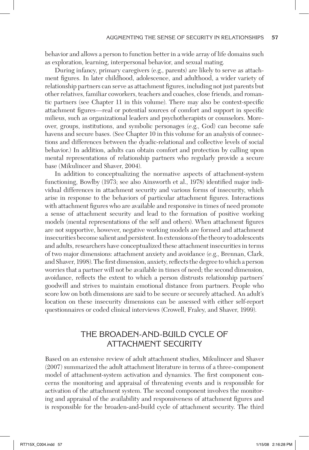behavior and allows a person to function better in a wide array of life domains such as exploration, learning, interpersonal behavior, and sexual mating.

During infancy, primary caregivers (e.g., parents) are likely to serve as attachment figures. In later childhood, adolescence, and adulthood, a wider variety of relationship partners can serve as attachment figures, including not just parents but other relatives, familiar coworkers, teachers and coaches, close friends, and romantic partners (see Chapter 11 in this volume). There may also be context-specific attachment figures—real or potential sources of comfort and support in specific milieus, such as organizational leaders and psychotherapists or counselors. Moreover, groups, institutions, and symbolic personages (e.g., God) can become safe havens and secure bases. (See Chapter 10 in this volume for an analysis of connections and differences between the dyadic-relational and collective levels of social behavior.) In addition, adults can obtain comfort and protection by calling upon mental representations of relationship partners who regularly provide a secure base (Mikulincer and Shaver, 2004).

In addition to conceptualizing the normative aspects of attachment-system functioning, Bowlby (1973; see also Ainsworth et al., 1978) identified major individual differences in attachment security and various forms of insecurity, which arise in response to the behaviors of particular attachment figures. Interactions with attachment figures who are available and responsive in times of need promote a sense of attachment security and lead to the formation of positive working models (mental representations of the self and others). When attachment figures are not supportive, however, negative working models are formed and attachment insecurities become salient and persistent. In extensions of the theory to adolescents and adults, researchers have conceptualized these attachment insecurities in terms of two major dimensions: attachment anxiety and avoidance (e.g., Brennan, Clark, and Shaver, 1998). The first dimension, anxiety, reflects the degree to which a person worries that a partner will not be available in times of need; the second dimension, avoidance, reflects the extent to which a person distrusts relationship partners' goodwill and strives to maintain emotional distance from partners. People who score low on both dimensions are said to be secure or securely attached. An adult's location on these insecurity dimensions can be assessed with either self-report questionnaires or coded clinical interviews (Crowell, Fraley, and Shaver, 1999).

# The Broaden-and-Build Cycle of ATTACHMENT SECURITY

Based on an extensive review of adult attachment studies, Mikulincer and Shaver (2007) summarized the adult attachment literature in terms of a three-component model of attachment-system activation and dynamics. The first component concerns the monitoring and appraisal of threatening events and is responsible for activation of the attachment system. The second component involves the monitoring and appraisal of the availability and responsiveness of attachment figures and is responsible for the broaden-and-build cycle of attachment security. The third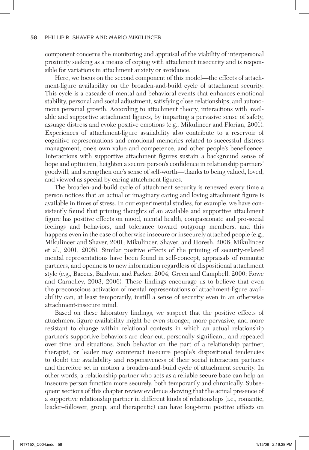component concerns the monitoring and appraisal of the viability of interpersonal proximity seeking as a means of coping with attachment insecurity and is responsible for variations in attachment anxiety or avoidance.

Here, we focus on the second component of this model—the effects of attachment-figure availability on the broaden-and-build cycle of attachment security. This cycle is a cascade of mental and behavioral events that enhances emotional stability, personal and social adjustment, satisfying close relationships, and autonomous personal growth. According to attachment theory, interactions with available and supportive attachment figures, by imparting a pervasive sense of safety, assuage distress and evoke positive emotions (e.g., Mikulincer and Florian, 2001). Experiences of attachment-figure availability also contribute to a reservoir of cognitive representations and emotional memories related to successful distress management, one's own value and competence, and other people's beneficence. Interactions with supportive attachment figures sustain a background sense of hope and optimism, heighten a secure person's confidence in relationship partners' goodwill, and strengthen one's sense of self-worth—thanks to being valued, loved, and viewed as special by caring attachment figures.

The broaden-and-build cycle of attachment security is renewed every time a person notices that an actual or imaginary caring and loving attachment figure is available in times of stress. In our experimental studies, for example, we have consistently found that priming thoughts of an available and supportive attachment figure has positive effects on mood, mental health, compassionate and pro-social feelings and behaviors, and tolerance toward outgroup members, and this happens even in the case of otherwise insecure or insecurely attached people (e.g., Mikulincer and Shaver, 2001; Mikulincer, Shaver, and Horesh, 2006; Mikulincer et al., 2001, 2005). Similar positive effects of the priming of security-related mental representations have been found in self-concept, appraisals of romantic partners, and openness to new information regardless of dispositional attachment style (e.g., Baccus, Baldwin, and Packer, 2004; Green and Campbell, 2000; Rowe and Carnelley, 2003, 2006). These findings encourage us to believe that even the preconscious activation of mental representations of attachment-figure availability can, at least temporarily, instill a sense of security even in an otherwise attachment-insecure mind.

Based on these laboratory findings, we suspect that the positive effects of attachment-figure availability might be even stronger, more pervasive, and more resistant to change within relational contexts in which an actual relationship partner's supportive behaviors are clear-cut, personally significant, and repeated over time and situations. Such behavior on the part of a relationship partner, therapist, or leader may counteract insecure people's dispositional tendencies to doubt the availability and responsiveness of their social interaction partners and therefore set in motion a broaden-and-build cycle of attachment security. In other words, a relationship partner who acts as a reliable secure base can help an insecure person function more securely, both temporarily and chronically. Subsequent sections of this chapter review evidence showing that the actual presence of a supportive relationship partner in different kinds of relationships (i.e., romantic, leader–follower, group, and therapeutic) can have long-term positive effects on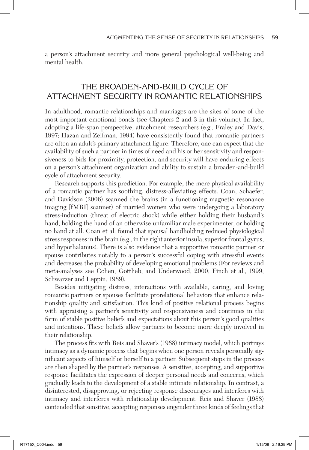a person's attachment security and more general psychological well-being and mental health.

# The Broaden-and-Build Cycle of Attachment Security in Romantic Relationships

In adulthood, romantic relationships and marriages are the sites of some of the most important emotional bonds (see Chapters 2 and 3 in this volume). In fact, adopting a life-span perspective, attachment researchers (e.g., Fraley and Davis, 1997; Hazan and Zeifman, 1994) have consistently found that romantic partners are often an adult's primary attachment figure. Therefore, one can expect that the availability of such a partner in times of need and his or her sensitivity and responsiveness to bids for proximity, protection, and security will have enduring effects on a person's attachment organization and ability to sustain a broaden-and-build cycle of attachment security.

Research supports this prediction. For example, the mere physical availability of a romantic partner has soothing, distress-alleviating effects. Coan, Schaefer, and Davidson (2006) scanned the brains (in a functioning magnetic resonance imaging [fMRI] scanner) of married women who were undergoing a laboratory stress-induction (threat of electric shock) while either holding their husband's hand, holding the hand of an otherwise unfamiliar male experimenter, or holding no hand at all. Coan et al. found that spousal handholding reduced physiological stress responses in the brain (e.g., in the right anterior insula, superior frontal gyrus, and hypothalamus). There is also evidence that a supportive romantic partner or spouse contributes notably to a person's successful coping with stressful events and decreases the probability of developing emotional problems (For reviews and meta-analyses see Cohen, Gottlieb, and Underwood, 2000; Finch et al., 1999; Schwarzer and Leppin, 1989).

Besides mitigating distress, interactions with available, caring, and loving romantic partners or spouses facilitate prorelational behaviors that enhance relationship quality and satisfaction. This kind of positive relational process begins with appraising a partner's sensitivity and responsiveness and continues in the form of stable positive beliefs and expectations about this person's good qualities and intentions. These beliefs allow partners to become more deeply involved in their relationship.

The process fits with Reis and Shaver's (1988) intimacy model, which portrays intimacy as a dynamic process that begins when one person reveals personally significant aspects of himself or herself to a partner. Subsequent steps in the process are then shaped by the partner's responses. A sensitive, accepting, and supportive response facilitates the expression of deeper personal needs and concerns, which gradually leads to the development of a stable intimate relationship. In contrast, a disinterested, disapproving, or rejecting response discourages and interferes with intimacy and interferes with relationship development. Reis and Shaver (1988) contended that sensitive, accepting responses engender three kinds of feelings that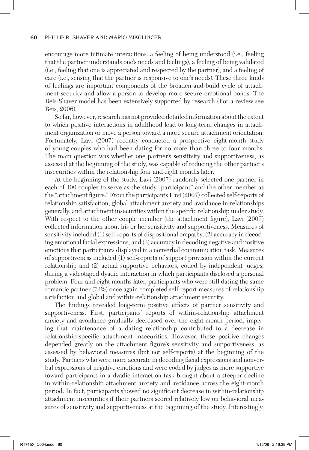encourage more intimate interactions: a feeling of being understood (i.e., feeling that the partner understands one's needs and feelings), a feeling of being validated (i.e., feeling that one is appreciated and respected by the partner), and a feeling of care (i.e., sensing that the partner is responsive to one's needs). These three kinds of feelings are important components of the broaden-and-build cycle of attachment security and allow a person to develop more secure emotional bonds. The Reis-Shaver model has been extensively supported by research (For a review see Reis, 2006).

So far, however, research has not provided detailed information about the extent to which positive interactions in adulthood lead to long-term changes in attachment organization or move a person toward a more secure attachment orientation. Fortunately, Lavi (2007) recently conducted a prospective eight-month study of young couples who had been dating for no more than three to four months. The main question was whether one partner's sensitivity and supportiveness, as assessed at the beginning of the study, was capable of reducing the other partner's insecurities within the relationship four and eight months later.

At the beginning of the study, Lavi (2007) randomly selected one partner in each of 100 couples to serve as the study "participant" and the other member as the "attachment figure." From the participants Lavi (2007) collected self-reports of relationship satisfaction, global attachment anxiety and avoidance in relationships generally, and attachment insecurities within the specific relationship under study. With respect to the other couple member (the attachment figure), Lavi (2007) collected information about his or her sensitivity and supportiveness. Measures of sensitivity included (1) self-reports of dispositional empathy, (2) accuracy in decoding emotional facial expressions, and (3) accuracy in decoding negative and positive emotions that participants displayed in a nonverbal communication task. Measures of supportiveness included (1) self-reports of support provision within the current relationship and (2) actual supportive behaviors, coded by independent judges, during a videotaped dyadic interaction in which participants disclosed a personal problem. Four and eight months later, participants who were still dating the same romantic partner (73%) once again completed self-report measures of relationship satisfaction and global and within-relationship attachment security.

The findings revealed long-term positive effects of partner sensitivity and supportiveness. First, participants' reports of within-relationship attachment anxiety and avoidance gradually decreased over the eight-month period, implying that maintenance of a dating relationship contributed to a decrease in relationship-specific attachment insecurities. However, these positive changes depended greatly on the attachment figure's sensitivity and supportiveness, as assessed by behavioral measures (but not self-reports) at the beginning of the study. Partners who were more accurate in decoding facial expressions and nonverbal expressions of negative emotions and were coded by judges as more supportive toward participants in a dyadic interaction task brought about a steeper decline in within-relationship attachment anxiety and avoidance across the eight-month period. In fact, participants showed no significant decrease in within-relationship attachment insecurities if their partners scored relatively low on behavioral measures of sensitivity and supportiveness at the beginning of the study. Interestingly,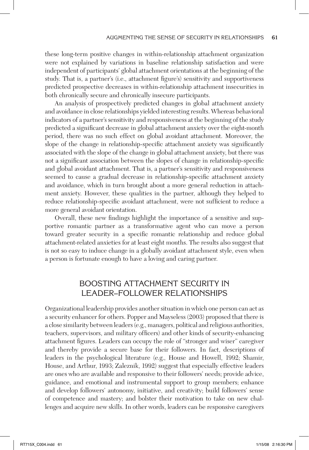these long-term positive changes in within-relationship attachment organization were not explained by variations in baseline relationship satisfaction and were independent of participants' global attachment orientations at the beginning of the study. That is, a partner's (i.e., attachment figure's) sensitivity and supportiveness predicted prospective decreases in within-relationship attachment insecurities in both chronically secure and chronically insecure participants.

An analysis of prospectively predicted changes in global attachment anxiety and avoidance in close relationships yielded interesting results. Whereas behavioral indicators of a partner's sensitivity and responsiveness at the beginning of the study predicted a significant decrease in global attachment anxiety over the eight-month period, there was no such effect on global avoidant attachment. Moreover, the slope of the change in relationship-specific attachment anxiety was significantly associated with the slope of the change in global attachment anxiety, but there was not a significant association between the slopes of change in relationship-specific and global avoidant attachment. That is, a partner's sensitivity and responsiveness seemed to cause a gradual decrease in relationship-specific attachment anxiety and avoidance, which in turn brought about a more general reduction in attachment anxiety. However, these qualities in the partner, although they helped to reduce relationship-specific avoidant attachment, were not sufficient to reduce a more general avoidant orientation.

Overall, these new findings highlight the importance of a sensitive and supportive romantic partner as a transformative agent who can move a person toward greater security in a specific romantic relationship and reduce global attachment-related anxieties for at least eight months. The results also suggest that is not so easy to induce change in a globally avoidant attachment style, even when a person is fortunate enough to have a loving and caring partner.

# Boosting Attachment Security in Leader–Follower Relationships

Organizational leadership provides another situation in which one person can act as a security enhancer for others. Popper and Mayseless (2003) proposed that there is a close similarity between leaders (e.g., managers, political and religious authorities, teachers, supervisors, and military officers) and other kinds of security-enhancing attachment figures. Leaders can occupy the role of "stronger and wiser" caregiver and thereby provide a secure base for their followers. In fact, descriptions of leaders in the psychological literature (e.g., House and Howell, 1992; Shamir, House, and Arthur, 1993; Zaleznik, 1992) suggest that especially effective leaders are ones who are available and responsive to their followers' needs; provide advice, guidance, and emotional and instrumental support to group members; enhance and develop followers' autonomy, initiative, and creativity; build followers' sense of competence and mastery; and bolster their motivation to take on new challenges and acquire new skills. In other words, leaders can be responsive caregivers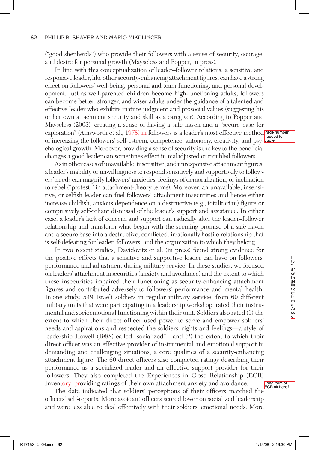("good shepherds") who provide their followers with a sense of security, courage, and desire for personal growth (Mayseless and Popper, in press).

In line with this conceptualization of leader–follower relations, a sensitive and responsive leader, like other security-enhancing attachment figures, can have a strong effect on followers' well-being, personal and team functioning, and personal development. Just as well-parented children become high-functioning adults, followers can become better, stronger, and wiser adults under the guidance of a talented and effective leader who exhibits mature judgment and prosocial values (suggesting his or her own attachment security and skill as a caregiver). According to Popper and Mayseless (2003), creating a sense of having a safe haven and a "secure base for exploration" (Ainsworth et al., 1978) in followers is a leader's most effective method **Page number** of increasing the followers' self-esteem, competence, autonomy, creativity, and psy-**quote**. chological growth. Moreover, providing a sense of security is the key to the beneficial changes a good leader can sometimes effect in maladjusted or troubled followers.

As in other cases of unavailable, insensitive, and unresponsive attachment figures, a leader's inability or unwillingness to respond sensitively and supportively to followers' needs can magnify followers' anxieties, feelings of demoralization, or inclination to rebel ("protest," in attachment-theory terms). Moreover, an unavailable, insensitive, or selfish leader can fuel followers' attachment insecurities and hence either increase childish, anxious dependence on a destructive (e.g., totalitarian) figure or compulsively self-reliant dismissal of the leader's support and assistance. In either case, a leader's lack of concern and support can radically alter the leader–follower relationship and transform what began with the seeming promise of a safe haven and a secure base into a destructive, conflicted, irrationally hostile relationship that is self-defeating for leader, followers, and the organization to which they belong.

In two recent studies, Davidovitz et al. (in press) found strong evidence for the positive effects that a sensitive and supportive leader can have on followers' performance and adjustment during military service. In these studies, we focused on leaders' attachment insecurities (anxiety and avoidance) and the extent to which these insecurities impaired their functioning as security-enhancing attachment figures and contributed adversely to followers' performance and mental health. In one study, 549 Israeli soldiers in regular military service, from 60 different military units that were participating in a leadership workshop, rated their instrumental and socioemotional functioning within their unit. Soldiers also rated (1) the extent to which their direct officer used power to serve and empower soldiers' needs and aspirations and respected the soldiers' rights and feelings—a style of leadership Howell (1988) called "socialized"—and (2) the extent to which their direct officer was an effective provider of instrumental and emotional support in demanding and challenging situations, a core qualities of a security-enhancing attachment figure. The 60 direct officers also completed ratings describing their performance as a socialized leader and an effective support provider for their followers. They also completed the Experiences in Close Relationship (ECR) Inventory, providing ratings of their own attachment anxiety and avoidance.

The data indicated that soldiers' perceptions of their officers matched the officers' self-reports. More avoidant officers scored lower on socialized leadership and were less able to deal effectively with their soldiers' emotional needs. More

Long form of ECR ok here?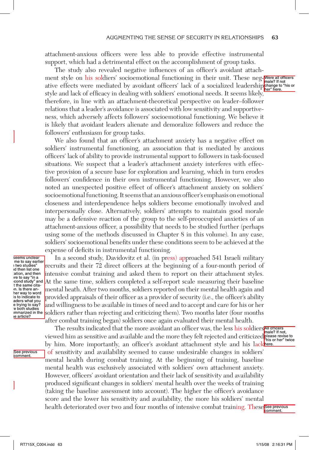attachment-anxious officers were less able to provide effective instrumental support, which had a detrimental effect on the accomplishment of group tasks.

The study also revealed negative influences of an officer's avoidant attachment style on his soldiers' socioemotional functioning in their unit. These neg-Were all officers ative effects were mediated by avoidant officers' lack of a socialized leadership change to "his or style and lack of efficacy in dealing with soldiers' emotional needs. It seems likely, therefore, in line with an attachment-theoretical perspective on leader–follower relations that a leader's avoidance is associated with low sensitivity and supportiveness, which adversely affects followers' socioemotional functioning. We believe it is likely that avoidant leaders alienate and demoralize followers and reduce the followers' enthusiasm for group tasks. her" here.

We also found that an officer's attachment anxiety has a negative effect on soldiers' instrumental functioning, an association that is mediated by anxious officers' lack of ability to provide instrumental support to followers in task-focused situations. We suspect that a leader's attachment anxiety interferes with effective provision of a secure base for exploration and learning, which in turn erodes followers' confidence in their own instrumental functioning. However, we also noted an unexpected positive effect of officer's attachment anxiety on soldiers' socioemotional functioning. It seems that an anxious officer's emphasis on emotional closeness and interdependence helps soldiers become emotionally involved and interpersonally close. Alternatively, soldiers' attempts to maintain good morale may be a defensive reaction of the group to the self-preoccupied anxieties of an attachment-anxious officer, a possibility that needs to be studied further (perhaps using some of the methods discussed in Chapter 8 in this volume). In any case, soldiers' socioemotional benefits under these conditions seem to be achieved at the expense of deficits in instrumental functioning.

seems unclear me to say earlier<br>i two studies" d then list one ation, and then here to say "in a cond study" and t the same citain. Is there anher way to word<br>is to indicate to aders what you e trying to say?<br>e both studies mmarized in the e article?

In a second study, Davidovitz et al. (in press) approached 541 Israeli military recruits and their 72 direct officers at the beginning of a four-month period of intensive combat training and asked them to report on their attachment styles. At the same time, soldiers completed a self-report scale measuring their baseline mental heath. After two months, soldiers reported on their mental health again and provided appraisals of their officer as a provider of security (i.e., the officer's ability and willingness to be available in times of need and to accept and care for his or her soldiers rather than rejecting and criticizing them). Two months later (four months after combat training began) soldiers once again evaluated their mental health.

The results indicated that the more avoidant an officer was, the less his soldiers all officers viewed him as sensitive and available and the more they felt rejected and criticized please revise to the vertex and available and the more they felt rejected and criticized please revise to by him. More importantly, an officer's avoidant attachment style and his lackhere. of sensitivity and availability seemed to cause undesirable changes in soldiers'mental health during combat training. At the beginning of training, baseline mental health was exclusively associated with soldiers' own attachment anxiety. However, officers' avoidant orientation and their lack of sensitivity and availability produced significant changes in soldiers' mental health over the weeks of training (taking the baseline assessment into account). The higher the officer's avoidance score and the lower his sensitivity and availability, the more his soldiers' mental health deteriorated over two and four months of intensive combat training. These **See previous** comment.

See previous comment.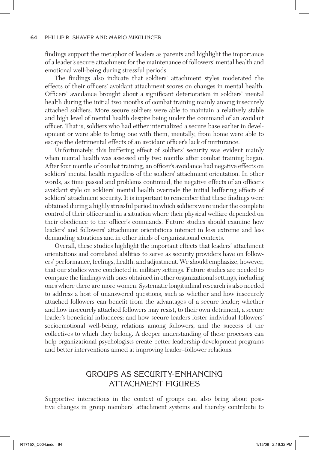findings support the metaphor of leaders as parents and highlight the importance of a leader's secure attachment for the maintenance of followers' mental health and emotional well-being during stressful periods.

The findings also indicate that soldiers' attachment styles moderated the effects of their officers' avoidant attachment scores on changes in mental health. Officers' avoidance brought about a significant deterioration in soldiers' mental health during the initial two months of combat training mainly among insecurely attached soldiers. More secure soldiers were able to maintain a relatively stable and high level of mental health despite being under the command of an avoidant officer. That is, soldiers who had either internalized a secure base earlier in development or were able to bring one with them, mentally, from home were able to escape the detrimental effects of an avoidant officer's lack of nurturance.

Unfortunately, this buffering effect of soldiers' security was evident mainly when mental health was assessed only two months after combat training began. After four months of combat training, an officer's avoidance had negative effects on soldiers' mental health regardless of the soldiers' attachment orientation. In other words, as time passed and problems continued, the negative effects of an officer's avoidant style on soldiers' mental health overrode the initial buffering effects of soldiers' attachment security. It is important to remember that these findings were obtained during a highly stressful period in which soldiers were under the complete control of their officer and in a situation where their physical welfare depended on their obedience to the officer's commands. Future studies should examine how leaders' and followers' attachment orientations interact in less extreme and less demanding situations and in other kinds of organizational contexts.

Overall, these studies highlight the important effects that leaders' attachment orientations and correlated abilities to serve as security providers have on followers' performance, feelings, health, and adjustment. We should emphasize, however, that our studies were conducted in military settings. Future studies are needed to compare the findings with ones obtained in other organizational settings, including ones where there are more women. Systematic longitudinal research is also needed to address a host of unanswered questions, such as whether and how insecurely attached followers can benefit from the advantages of a secure leader; whether and how insecurely attached followers may resist, to their own detriment, a secure leader's beneficial influences; and how secure leaders foster individual followers' socioemotional well-being, relations among followers, and the success of the collectives to which they belong. A deeper understanding of these processes can help organizational psychologists create better leadership development programs and better interventions aimed at improving leader–follower relations.

# Groups as Security-Enhancing Attachment Figures

Supportive interactions in the context of groups can also bring about positive changes in group members' attachment systems and thereby contribute to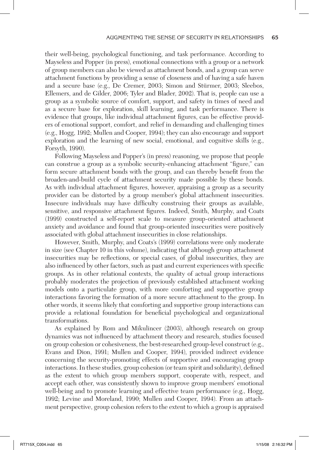their well-being, psychological functioning, and task performance. According to Mayseless and Popper (in press), emotional connections with a group or a network of group members can also be viewed as attachment bonds, and a group can serve attachment functions by providing a sense of closeness and of having a safe haven and a secure base (e.g., De Cremer, 2003; Simon and Stürmer, 2003; Sleebos, Ellemers, and de Gilder, 2006; Tyler and Blader, 2002). That is, people can use a group as a symbolic source of comfort, support, and safety in times of need and as a secure base for exploration, skill learning, and task performance. There is evidence that groups, like individual attachment figures, can be effective providers of emotional support, comfort, and relief in demanding and challenging times (e.g., Hogg, 1992; Mullen and Cooper, 1994); they can also encourage and support exploration and the learning of new social, emotional, and cognitive skills (e.g., Forsyth, 1990).

Following Mayseless and Popper's (in press) reasoning, we propose that people can construe a group as a symbolic security-enhancing attachment "figure," can form secure attachment bonds with the group, and can thereby benefit from the broaden-and-build cycle of attachment security made possible by these bonds. As with individual attachment figures, however, appraising a group as a security provider can be distorted by a group member's global attachment insecurities. Insecure individuals may have difficulty construing their groups as available, sensitive, and responsive attachment figures. Indeed, Smith, Murphy, and Coats (1999) constructed a self-report scale to measure group-oriented attachment anxiety and avoidance and found that group-oriented insecurities were positively associated with global attachment insecurities in close relationships.

However, Smith, Murphy, and Coats's (1999) correlations were only moderate in size (see Chapter 10 in this volume), indicating that although group attachment insecurities may be reflections, or special cases, of global insecurities, they are also influenced by other factors, such as past and current experiences with specific groups. As in other relational contexts, the quality of actual group interactions probably moderates the projection of previously established attachment workingmodels onto a particulate group, with more comforting and supportive group interactions favoring the formation of a more secure attachment to the group. In other words, it seems likely that comforting and supportive group interactions can provide a relational foundation for beneficial psychological and organizational transformations.

As explained by Rom and Mikulincer (2003), although research on group dynamics was not influenced by attachment theory and research, studies focused on group cohesion or cohesiveness, the best-researched group-level construct (e.g., Evans and Dion, 1991; Mullen and Cooper, 1994), provided indirect evidence concerning the security-promoting effects of supportive and encouraging group interactions. In these studies, group cohesion (or team spirit and solidarity), defined as the extent to which group members support, cooperate with, respect, and accept each other, was consistently shown to improve group members' emotional well-being and to promote learning and effective team performance (e.g., Hogg, 1992; Levine and Moreland, 1990; Mullen and Cooper, 1994). From an attachment perspective, group cohesion refers to the extent to which a group is appraised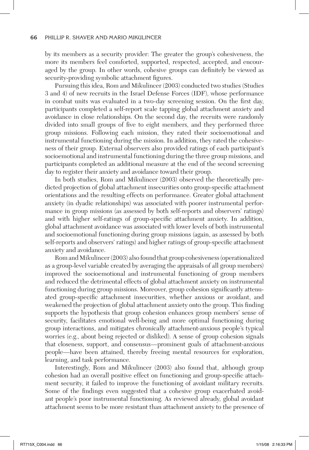by its members as a security provider: The greater the group's cohesiveness, the more its members feel comforted, supported, respected, accepted, and encouraged by the group. In other words, cohesive groups can definitely be viewed as security-providing symbolic attachment figures.

Pursuing this idea, Rom and Mikulincer (2003) conducted two studies (Studies 3 and 4) of new recruits in the Israel Defense Forces (IDF), whose performance in combat units was evaluated in a two-day screening session. On the first day, participants completed a self-report scale tapping global attachment anxiety and avoidance in close relationships. On the second day, the recruits were randomly divided into small groups of five to eight members, and they performed three group missions. Following each mission, they rated their socioemotional and instrumental functioning during the mission. In addition, they rated the cohesiveness of their group. External observers also provided ratings of each participant's socioemotional and instrumental functioning during the three group missions, and participants completed an additional measure at the end of the second screening day to register their anxiety and avoidance toward their group.

In both studies, Rom and Mikulincer (2003) observed the theoretically predicted projection of global attachment insecurities onto group-specific attachment orientations and the resulting effects on performance. Greater global attachment anxiety (in dyadic relationships) was associated with poorer instrumental performance in group missions (as assessed by both self-reports and observers' ratings) and with higher self-ratings of group-specific attachment anxiety. In addition, global attachment avoidance was associated with lower levels of both instrumental and socioemotional functioning during group missions (again, as assessed by both self-reports and observers' ratings) and higher ratings of group-specific attachment anxiety and avoidance.

Rom and Mikulincer (2003) also found that group cohesiveness (operationalized as a group-level variable created by averaging the appraisals of all group members) improved the socioemotional and instrumental functioning of group members and reduced the detrimental effects of global attachment anxiety on instrumental functioning during group missions. Moreover, group cohesion significantly attenuated group-specific attachment insecurities, whether anxious or avoidant, and weakened the projection of global attachment anxiety onto the group. This finding supports the hypothesis that group cohesion enhances group members' sense of security, facilitates emotional well-being and more optimal functioning during group interactions, and mitigates chronically attachment-anxious people's typical worries (e.g., about being rejected or disliked). A sense of group cohesion signals that closeness, support, and consensus—prominent goals of attachment-anxious people—have been attained, thereby freeing mental resources for exploration, learning, and task performance.

Interestingly, Rom and Mikulincer (2003) also found that, although group cohesion had an overall positive effect on functioning and group-specific attachment security, it failed to improve the functioning of avoidant military recruits. Some of the findings even suggested that a cohesive group exacerbated avoidant people's poor instrumental functioning. As reviewed already, global avoidant attachment seems to be more resistant than attachment anxiety to the presence of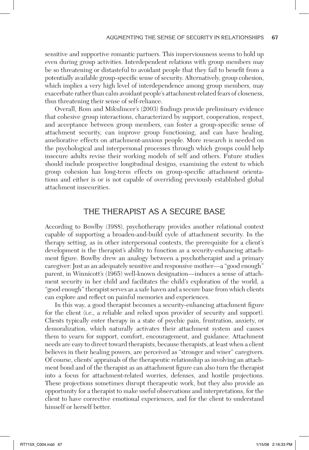sensitive and supportive romantic partners. This imperviousness seems to hold up even during group activities. Interdependent relations with group members may be so threatening or distasteful to avoidant people that they fail to benefit from a potentially available group-specific sense of security. Alternatively, group cohesion, which implies a very high level of interdependence among group members, may exacerbate rather than calm avoidant people's attachment-related fears of closeness, thus threatening their sense of self-reliance.

Overall, Rom and Mikulincer's (2003) findings provide preliminary evidence that cohesive group interactions, characterized by support, cooperation, respect, and acceptance between group members, can foster a group-specific sense of attachment security, can improve group functioning, and can have healing, ameliorative effects on attachment-anxious people. More research is needed on the psychological and interpersonal processes through which groups could help insecure adults revise their working models of self and others. Future studies should include prospective longitudinal designs, examining the extent to which group cohesion has long-term effects on group-specific attachment orientations and either is or is not capable of overriding previously established global attachment insecurities.

## The Therapist as a Secure Base

According to Bowlby (1988), psychotherapy provides another relational context capable of supporting a broaden-and-build cycle of attachment security. In the therapy setting, as in other interpersonal contexts, the prerequisite for a client's development is the therapist's ability to function as a security-enhancing attachment figure. Bowlby drew an analogy between a psychotherapist and a primary caregiver: Just as an adequately sensitive and responsive mother—a "good enough" parent, in Winnicott's (1965) well-known designation—induces a sense of attachment security in her child and facilitates the child's exploration of the world, a "good enough" therapist serves as a safe haven and a secure base from which clientscan explore and reflect on painful memories and experiences.

In this way, a good therapist becomes a security-enhancing attachment figure for the client (i.e., a reliable and relied upon provider of security and support). Clients typically enter therapy in a state of psychic pain, frustration, anxiety, or demoralization, which naturally activates their attachment system and causes them to yearn for support, comfort, encouragement, and guidance. Attachment needs are easy to direct toward therapists, because therapists, at least when a client believes in their healing powers, are perceived as "stronger and wiser" caregivers. Of course, clients' appraisals of the therapeutic relationship as involving an attachment bond and of the therapist as an attachment figure can also turn the therapist into a focus for attachment-related worries, defenses, and hostile projections. These projections sometimes disrupt therapeutic work, but they also provide an opportunity for a therapist to make useful observations and interpretations, for the client to have corrective emotional experiences, and for the client to understand himself or herself better.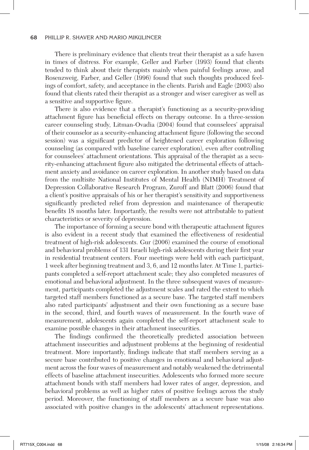There is preliminary evidence that clients treat their therapist as a safe haven in times of distress. For example, Geller and Farber (1993) found that clients tended to think about their therapists mainly when painful feelings arose, and Rosenzweig, Farber, and Geller (1996) found that such thoughts produced feelings of comfort, safety, and acceptance in the clients. Parish and Eagle (2003) also found that clients rated their therapist as a stronger and wiser caregiver as well as a sensitive and supportive figure.

There is also evidence that a therapist's functioning as a security-providing attachment figure has beneficial effects on therapy outcome. In a three-session career counseling study, Litman-Ovadia (2004) found that counselees' appraisal of their counselor as a security-enhancing attachment figure (following the second session) was a significant predictor of heightened career exploration following counseling (as compared with baseline career exploration), even after controlling for counselees' attachment orientations. This appraisal of the therapist as a security-enhancing attachment figure also mitigated the detrimental effects of attachment anxiety and avoidance on career exploration. In another study based on data from the multisite National Institutes of Mental Health (NIMH) Treatment of Depression Collaborative Research Program, Zuroff and Blatt (2006) found that a client's positive appraisals of his or her therapist's sensitivity and supportiveness significantly predicted relief from depression and maintenance of therapeutic benefits 18 months later. Importantly, the results were not attributable to patient characteristics or severity of depression.

The importance of forming a secure bond with therapeutic attachment figures is also evident in a recent study that examined the effectiveness of residential treatment of high-risk adolescents. Gur (2006) examined the course of emotional and behavioral problems of 131 Israeli high-risk adolescents during their first year in residential treatment centers. Four meetings were held with each participant, 1 week after beginning treatment and 3, 6, and 12 months later. At Time 1, participants completed a self-report attachment scale; they also completed measures of emotional and behavioral adjustment. In the three subsequent waves of measurement, participants completed the adjustment scales and rated the extent to which targeted staff members functioned as a secure base. The targeted staff members also rated participants' adjustment and their own functioning as a secure base in the second, third, and fourth waves of measurement. In the fourth wave of measurement, adolescents again completed the self-report attachment scale to examine possible changes in their attachment insecurities.

The findings confirmed the theoretically predicted association between attachment insecurities and adjustment problems at the beginning of residential treatment. More importantly, findings indicate that staff members serving as a secure base contributed to positive changes in emotional and behavioral adjustment across the four waves of measurement and notably weakened the detrimental effects of baseline attachment insecurities. Adolescents who formed more secure attachment bonds with staff members had lower rates of anger, depression, and behavioral problems as well as higher rates of positive feelings across the study period. Moreover, the functioning of staff members as a secure base was also associated with positive changes in the adolescents' attachment representations.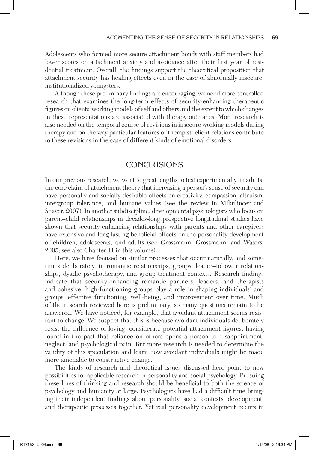Adolescents who formed more secure attachment bonds with staff members had lower scores on attachment anxiety and avoidance after their first year of residential treatment. Overall, the findings support the theoretical proposition that attachment security has healing effects even in the case of abnormally insecure, institutionalized youngsters.

Although these preliminary findings are encouraging, we need more controlled research that examines the long-term effects of security-enhancing therapeutic figures on clients' working models of self and others and the extent to which changes in these representations are associated with therapy outcomes. More research is also needed on the temporal course of revisions in insecure working models during therapy and on the way particular features of therapist–client relations contribute to these revisions in the case of different kinds of emotional disorders.

# CONCLUSIONS

In our previous research, we went to great lengths to test experimentally, in adults, the core claim of attachment theory that increasing a person's sense of security can have personally and socially desirable effects on creativity, compassion, altruism, intergroup tolerance, and humane values (see the review in Mikulincer and Shaver, 2007). In another subdiscipline, developmental psychologists who focus on parent–child relationships in decades-long prospective longitudinal studies have shown that security-enhancing relationships with parents and other caregivers have extensive and long-lasting beneficial effects on the personality development of children, adolescents, and adults (see Grossmann, Grossmann, and Waters, 2005; see also Chapter 11 in this volume).

Here, we have focused on similar processes that occur naturally, and sometimes deliberately, in romantic relationships, groups, leader–follower relationships, dyadic psychotherapy, and group-treatment contexts. Research findings indicate that security-enhancing romantic partners, leaders, and therapists and cohesive, high-functioning groups play a role in shaping individuals' and groups' effective functioning, well-being, and improvement over time. Much of the research reviewed here is preliminary, so many questions remain to be answered. We have noticed, for example, that avoidant attachment seems resistant to change. We suspect that this is because avoidant individuals deliberately resist the influence of loving, considerate potential attachment figures, having found in the past that reliance on others opens a person to disappointment, neglect, and psychological pain. But more research is needed to determine the validity of this speculation and learn how avoidant individuals might be made more amenable to constructive change.

The kinds of research and theoretical issues discussed here point to new possibilities for applicable research in personality and social psychology. Pursuing these lines of thinking and research should be beneficial to both the science of psychology and humanity at large. Psychologists have had a difficult time bringing their independent findings about personality, social contexts, development, and therapeutic processes together. Yet real personality development occurs in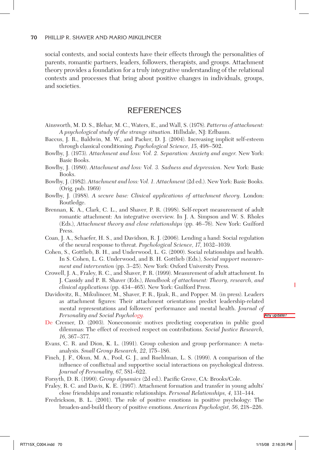social contexts, and social contexts have their effects through the personalities of parents, romantic partners, leaders, followers, therapists, and groups. Attachment theory provides a foundation for a truly integrative understanding of the relational contexts and processes that bring about positive changes in individuals, groups, and societies.

# **REFERENCES**

- Ainsworth, M. D. S., Blehar, M. C., Waters, E., and Wall, S. (1978). *Patterns of attachment: A psychological study of the strange situation*. Hillsdale, NJ: Erlbaum.
- Baccus, J. R., Baldwin, M. W., and Packer, D. J. (2004). Increasing implicit self-esteem through classical conditioning. *Psychological Science, 15*, 498–502.
- Bowlby, J. (1973). *Attachment and loss: Vol. 2. Separation: Anxiety and anger*. New York: Basic Books.
- Bowlby, J. (1980). *Attachment and loss: Vol. 3. Sadness and depression*. New York: Basic Books.
- Bowlby, J. (1982). *Attachment and loss: Vol. 1. Attachment* (2d ed.). New York: Basic Books. (Orig. pub. 1969)
- Bowlby, J. (1988). *A secure base: Clinical applications of attachment theory*. London: Routledge.
- Brennan, K. A., Clark, C. L., and Shaver, P. R. (1998). Self-report measurement of adult romantic attachment: An integrative overview. In J. A. Simpson and W. S. Rholes (Eds.), *Attachment theory and close relationships* (pp. 46–76). New York: Guilford Press.
- Coan, J. A., Schaefer, H. S., and Davidson, R. J. (2006). Lending a hand: Social regulation of the neural response to threat. *Psychological Science, 17*, 1032–1039.
- Cohen, S., Gottlieb, B. H., and Underwood, L. G. (2000). Social relationships and health. In S. Cohen, L. G. Underwood, and B. H. Gottlieb (Eds*.*), *Social support measurement and intervention* (pp. 3–25). New York: Oxford University Press.
- Crowell, J. A., Fraley, R. C., and Shaver, P. R. (1999). Measurement of adult attachment. In J. Cassidy and P. R. Shaver (Eds.), *Handbook of attachment: Theory, research, and clinical applications* (pp. 434–465). New York: Guilford Press.
- Davidovitz, R., Mikulincer, M., Shaver, P. R., Ijzak, R., and Popper. M. (in press). Leaders as attachment figures: Their attachment orientations predict leadership-related mental representations and followers' performance and mental health. *Journal of Personality and Social Psychology.*

Any update?

- De Cremer, D. (2003). Noneconomic motives predicting cooperation in public good dilemmas: The effect of received respect on contributions. *Social Justice Research, 16*, 367–377.
- Evans, C. R. and Dion, K. L. (1991). Group cohesion and group performance: A metaanalysis. *Small Group Research, 22*, 175–186.
- Finch, J. F., Okun, M. A., Pool, G. J., and Ruehlman, L. S. (1999). A comparison of the influence of conflictual and supportive social interactions on psychological distress. *Journal of Personality, 67*, 581–622.

Forsyth, D. R. (1990). *Group dynamics* (2d ed.). Pacific Grove, CA: Brooks/Cole.

- Fraley, R. C. and Davis, K. E. (1997). Attachment formation and transfer in young adults' close friendships and romantic relationships. *Personal Relationships, 4*, 131–144.
- Fredrickson, B. L. (2001). The role of positive emotions in positive psychology: The broaden-and-build theory of positive emotions. *American Psychologist, 56*, 218–226.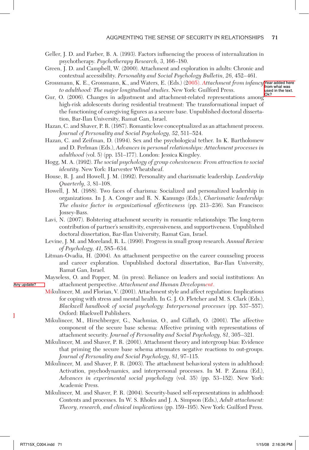- Geller, J. D. and Farber, B. A. (1993). Factors influencing the process of internalization in psychotherapy. *Psychotherapy Research, 3*, 166–180.
- Green, J. D. and Campbell, W. (2000). Attachment and exploration in adults: Chronic and contextual accessibility. *Personality and Social Psychology Bulletin, 26*, 452–461.
- Grossmann, K. E., Grossmann, K., and Waters, E. (Eds.) (2005). *Attachment from infancy to adulthood: The major longitudinal studies*. New York: Guilford Press.

Year added here from what was used in the text.

- Gur, O. (2006). Changes in adjustment and attachment-related representations among Ok? high-risk adolescents during residential treatment: The transformational impact of the functioning of caregiving figures as a secure base. Unpublished doctoral dissertation, Bar-Ilan University, Ramat Gan, Israel.
- Hazan, C. and Shaver, P. R. (1987). Romantic love conceptualized as an attachment process. *Journal of Personality and Social Psychology, 52*, 511–524.
- Hazan, C. and Zeifman, D. (1994). Sex and the psychological tether. In K. Bartholomew and D. Perlman (Eds.), *Advances in personal relationships: Attachment processes in adulthood* (vol. 5) (pp. 151–177). London: Jessica Kingsley.
- Hogg, M. A. (1992). *The social psychology of group cohesiveness: From attraction to social identity*. New York: Harvester Wheatsheaf.
- House, R. J. and Howell, J. M. (1992). Personality and charismatic leadership. *Leadership Quarterly, 3*, 81–108.
- Howell, J. M. (1988). Two faces of charisma: Socialized and personalized leadership in organizations. In J. A. Conger and R. N. Kanungo (Eds.), *Charismatic leadership: The elusive factor in organizational effectiveness* (pp. 213–236). San Francisco: Jossey-Bass.
- Lavi, N. (2007). Bolstering attachment security in romantic relationships: The long-term contribution of partner's sensitivity, expressiveness, and supportiveness. Unpublished doctoral dissertation, Bar-Ilan University, Ramat Gan, Israel.
- Levine, J. M. and Moreland, R. L. (1990). Progress in small group research. *Annual Review of Psychology, 41*, 585–634.
- Litman-Ovadia, H. (2004). An attachment perspective on the career counseling process and career exploration. Unpublished doctoral dissertation, Bar-Ilan University, Ramat Gan, Israel.
- Mayseless, O. and Popper, M. (in press). Reliance on leaders and social institutions: An attachment perspective. *Attachment and Human Development*.
- Mikulincer, M. and Florian, V. (2001). Attachment style and affect regulation: Implications for coping with stress and mental health. In G. J. O. Fletcher and M. S. Clark (Eds.), *Blackwell handbook of social psychology: Interpersonal processes* (pp. 537–557). Oxford: Blackwell Publishers.
- Mikulincer, M., Hirschberger, G., Nachmias, O., and Gillath, O. (2001). The affective component of the secure base schema: Affective priming with representations of attachment security. *Journal of Personality and Social Psychology, 81*, 305–321.
- Mikulincer, M. and Shaver, P. R. (2001). Attachment theory and intergroup bias: Evidence that priming the secure base schema attenuates negative reactions to out-groups. *Journal of Personality and Social Psychology, 81*, 97–115.
- Mikulincer, M. and Shaver, P. R. (2003). The attachment behavioral system in adulthood: Activation, psychodynamics, and interpersonal processes. In M. P. Zanna (Ed.), *Advances in experimental social psychology* (vol. 35) (pp. 53–152). New York: Academic Press.
- Mikulincer, M. and Shaver, P. R. (2004). Security-based self-representations in adulthood: Contents and processes. In W. S. Rholes and J. A. Simpson (Eds.), *Adult attachment: Theory, research, and clinical implications* (pp. 159–195). New York: Guilford Press.

Any update?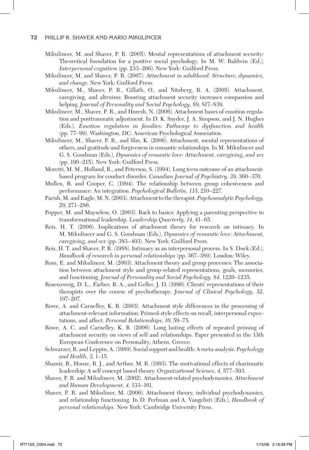- Mikulincer, M. and Shaver, P. R. (2005). Mental representations of attachment security: Theoretical foundation for a positive social psychology. In M. W. Baldwin (Ed.), *Interpersonal cognition* (pp. 233–266). New York: Guilford Press.
- Mikulincer, M. and Shaver, P. R. (2007). *Attachment in adulthood: Structure, dynamics, and change*. New York: Guilford Press.
- Mikulincer, M., Shaver, P. R., Gillath, O., and Nitzberg, R. A. (2005). Attachment, caregiving, and altruism: Boosting attachment security increases compassion and helping. *Journal of Personality and Social Psychology, 89,* 817–839.
- Mikulincer, M., Shaver, P. R., and Horesh, N. (2006). Attachment bases of emotion regulation and posttraumatic adjustment. In D. K. Snyder, J. A. Simpson, and J. N. Hughes (Eds.), *Emotion regulation in families: Pathways to dysfunction and health* (pp. 77–99)*.* Washington, DC: American Psychological Association.
- Mikulincer, M., Shaver, P. R., and Slav, K. (2006). Attachment, mental representations of others, and gratitude and forgiveness in romantic relationships. In M. Mikulincer and G. S. Goodman (Eds.), *Dynamics of romantic love: Attachment, caregiving, and sex*  (pp. 190–215). New York: Guilford Press.
- Moretti, M. M., Holland, R., and Peterson, S. (1994). Long term outcome of an attachmentbased program for conduct disorder. *Canadian Journal of Psychiatry, 39*, 360–370.
- Mullen, B. and Cooper, C. (1994). The relationship between group cohesiveness and performance: An integration. *Psychological Bulletin, 115*, 210–227.
- Parish, M. and Eagle, M. N. (2003). Attachment to the therapist. *Psychoanalytic Psychology, 20*, 271–286.
- Popper, M. and Mayseless, O. (2003). Back to basics: Applying a parenting perspective to transformational leadership. *Leadership Quarterly, 14*, 41–65.
- Reis, H. T. (2006). Implications of attachment theory for research on intimacy. In M. Mikulincer and G. S. Goodman (Eds.), *Dynamics of romantic love: Attachment, caregiving, and sex* (pp. 383–403). New York: Guilford Press.
- Reis, H. T. and Shaver, P. R. (1988). Intimacy as an interpersonal process. In S. Duck (Ed.), *Handbook of research in personal relationships* (pp. 367–389). London: Wiley.
- Rom, E. and Mikulincer, M. (2003). Attachment theory and group processes: The association between attachment style and group-related representations, goals, memories, and functioning. *Journal of Personality and Social Psychology, 84*, 1220–1235.
- Rosenzweig, D. L., Farber, B. A., and Geller, J. D. (1996). Clients' representations of their therapists over the course of psychotherapy. *Journal of Clinical Psychology, 52*, 197–207.
- Rowe, A. and Carnelley, K. B. (2003). Attachment style differences in the processing of attachment-relevant information: Primed-style effects on recall, interpersonal expectations, and affect. *Personal Relationships, 10*, 59–75.
- Rowe, A. C. and Carnelley, K. B. (2006). Long lasting effects of repeated priming of attachment security on views of self and relationships. Paper presented in the 13th European Conference on Personality, Athens, Greece.
- Schwarzer, R. and Leppin, A. (1989). Social support and health: A meta-analysis. *Psychology and Health, 3*, 1–15.
- Shamir, B., House, R. J., and Arthur, M. B. (1993). The motivational effects of charismatic leadership: A self concept based theory. *Organizational Science, 4*, 577–593.
- Shaver, P. R. and Mikulincer, M. (2002). Attachment-related psychodynamics. *Attachment and Human Development, 4*, 133–161.
- Shaver, P. R. and Mikuliner, M. (2006). Attachment theory, individual psychodynamics, and relationship functioning. In D. Perlman and A. Vangelisti (Eds.), *Handbook of personal relationships.* New York: Cambridge University Press.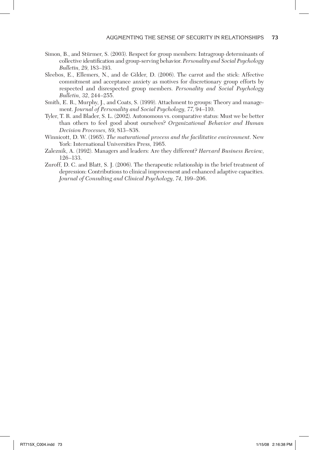- Simon, B., and Stürmer, S. (2003). Respect for group members: Intragroup determinants of collective identification and group-serving behavior. *Personality and Social Psychology Bulletin, 29*, 183–193.
- Sleebos, E., Ellemers, N., and de Gilder, D. (2006). The carrot and the stick: Affective commitment and acceptance anxiety as motives for discretionary group efforts by respected and disrespected group members. *Personality and Social Psychology Bulletin, 32*, 244–255.
- Smith, E. R., Murphy, J., and Coats, S. (1999). Attachment to groups: Theory and management. *Journal of Personality and Social Psychology, 77*, 94–110.
- Tyler, T. R. and Blader, S. L. (2002). Autonomous vs. comparative status: Must we be better than others to feel good about ourselves? *Organizational Behavior and Human Decision Processes, 89*, 813–838.
- Winnicott, D. W. (1965). *The maturational process and the facilitative environment*. New York: International Universities Press, 1965.
- Zaleznik, A. (1992). Managers and leaders: Are they different? *Harvard Business Review*, 126–133.
- Zuroff, D. C. and Blatt, S. J. (2006). The therapeutic relationship in the brief treatment of depression: Contributions to clinical improvement and enhanced adaptive capacities. *Journal of Consulting and Clinical Psychology, 74*, 199–206.